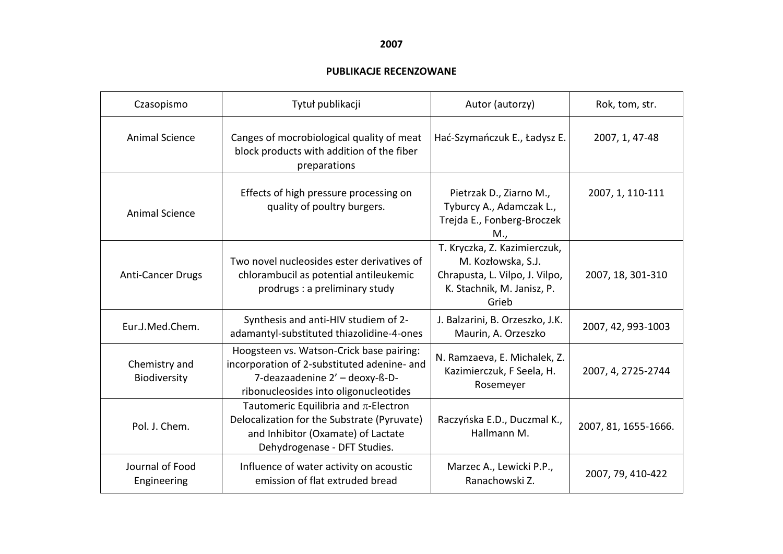## **2007**

## **PUBLIKACJE RECENZOWANE**

| Czasopismo                     | Tytuł publikacji                                                                                                                                                   | Autor (autorzy)                                                                                                             | Rok, tom, str.       |
|--------------------------------|--------------------------------------------------------------------------------------------------------------------------------------------------------------------|-----------------------------------------------------------------------------------------------------------------------------|----------------------|
| <b>Animal Science</b>          | Canges of mocrobiological quality of meat<br>block products with addition of the fiber<br>preparations                                                             | Hać-Szymańczuk E., Ładysz E.                                                                                                | 2007, 1, 47-48       |
| <b>Animal Science</b>          | Effects of high pressure processing on<br>quality of poultry burgers.                                                                                              | Pietrzak D., Ziarno M.,<br>Tyburcy A., Adamczak L.,<br>Trejda E., Fonberg-Broczek<br>M.,                                    | 2007, 1, 110-111     |
| <b>Anti-Cancer Drugs</b>       | Two novel nucleosides ester derivatives of<br>chlorambucil as potential antileukemic<br>prodrugs : a preliminary study                                             | T. Kryczka, Z. Kazimierczuk,<br>M. Kozłowska, S.J.<br>Chrapusta, L. Vilpo, J. Vilpo,<br>K. Stachnik, M. Janisz, P.<br>Grieb | 2007, 18, 301-310    |
| Eur.J.Med.Chem.                | Synthesis and anti-HIV studiem of 2-<br>adamantyl-substituted thiazolidine-4-ones                                                                                  | J. Balzarini, B. Orzeszko, J.K.<br>Maurin, A. Orzeszko                                                                      | 2007, 42, 993-1003   |
| Chemistry and<br>Biodiversity  | Hoogsteen vs. Watson-Crick base pairing:<br>incorporation of 2-substituted adenine- and<br>7-deazaadenine 2' - deoxy-ß-D-<br>ribonucleosides into oligonucleotides | N. Ramzaeva, E. Michalek, Z.<br>Kazimierczuk, F Seela, H.<br>Rosemeyer                                                      | 2007, 4, 2725-2744   |
| Pol. J. Chem.                  | Tautomeric Equilibria and $\pi$ -Electron<br>Delocalization for the Substrate (Pyruvate)<br>and Inhibitor (Oxamate) of Lactate<br>Dehydrogenase - DFT Studies.     | Raczyńska E.D., Duczmal K.,<br>Hallmann M.                                                                                  | 2007, 81, 1655-1666. |
| Journal of Food<br>Engineering | Influence of water activity on acoustic<br>emission of flat extruded bread                                                                                         | Marzec A., Lewicki P.P.,<br>Ranachowski Z.                                                                                  | 2007, 79, 410-422    |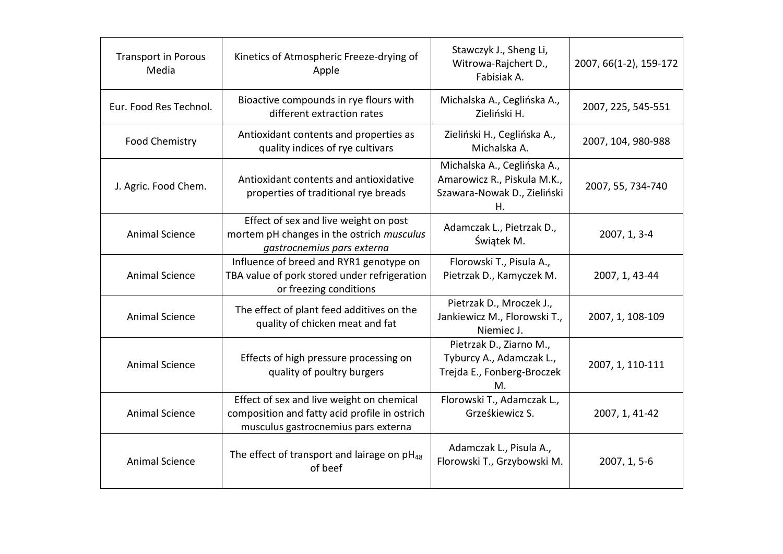| <b>Transport in Porous</b><br>Media | Kinetics of Atmospheric Freeze-drying of<br>Apple                                                                                 | Stawczyk J., Sheng Li,<br>Witrowa-Rajchert D.,<br>Fabisiak A.                                   | 2007, 66(1-2), 159-172 |
|-------------------------------------|-----------------------------------------------------------------------------------------------------------------------------------|-------------------------------------------------------------------------------------------------|------------------------|
| Eur. Food Res Technol.              | Bioactive compounds in rye flours with<br>different extraction rates                                                              | Michalska A., Ceglińska A.,<br>Zieliński H.                                                     | 2007, 225, 545-551     |
| Food Chemistry                      | Antioxidant contents and properties as<br>quality indices of rye cultivars                                                        | Zieliński H., Ceglińska A.,<br>Michalska A.                                                     | 2007, 104, 980-988     |
| J. Agric. Food Chem.                | Antioxidant contents and antioxidative<br>properties of traditional rye breads                                                    | Michalska A., Ceglińska A.,<br>Amarowicz R., Piskula M.K.,<br>Szawara-Nowak D., Zieliński<br>Η. | 2007, 55, 734-740      |
| <b>Animal Science</b>               | Effect of sex and live weight on post<br>mortem pH changes in the ostrich musculus<br>gastrocnemius pars externa                  | Adamczak L., Pietrzak D.,<br>Świątek M.                                                         | 2007, 1, 3-4           |
| <b>Animal Science</b>               | Influence of breed and RYR1 genotype on<br>TBA value of pork stored under refrigeration<br>or freezing conditions                 | Florowski T., Pisula A.,<br>Pietrzak D., Kamyczek M.                                            | 2007, 1, 43-44         |
| <b>Animal Science</b>               | The effect of plant feed additives on the<br>quality of chicken meat and fat                                                      | Pietrzak D., Mroczek J.,<br>Jankiewicz M., Florowski T.,<br>Niemiec J.                          | 2007, 1, 108-109       |
| <b>Animal Science</b>               | Effects of high pressure processing on<br>quality of poultry burgers                                                              | Pietrzak D., Ziarno M.,<br>Tyburcy A., Adamczak L.,<br>Trejda E., Fonberg-Broczek<br>M.         | 2007, 1, 110-111       |
| <b>Animal Science</b>               | Effect of sex and live weight on chemical<br>composition and fatty acid profile in ostrich<br>musculus gastrocnemius pars externa | Florowski T., Adamczak L.,<br>Grześkiewicz S.                                                   | 2007, 1, 41-42         |
| <b>Animal Science</b>               | The effect of transport and lairage on $pH_{48}$<br>of beef                                                                       | Adamczak L., Pisula A.,<br>Florowski T., Grzybowski M.                                          | 2007, 1, 5-6           |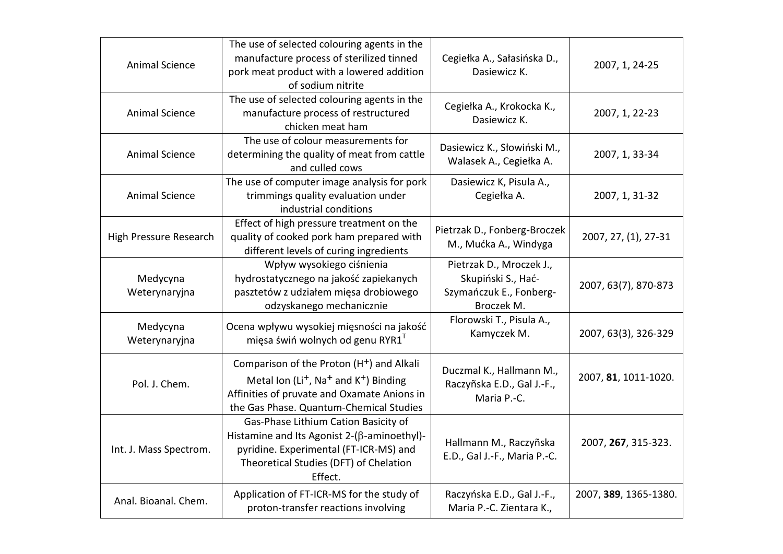| <b>Animal Science</b>     | The use of selected colouring agents in the<br>manufacture process of sterilized tinned<br>pork meat product with a lowered addition<br>of sodium nitrite                                                                    | Cegiełka A., Sałasińska D.,<br>Dasiewicz K.                                             | 2007, 1, 24-25        |
|---------------------------|------------------------------------------------------------------------------------------------------------------------------------------------------------------------------------------------------------------------------|-----------------------------------------------------------------------------------------|-----------------------|
| <b>Animal Science</b>     | The use of selected colouring agents in the<br>manufacture process of restructured<br>chicken meat ham                                                                                                                       | Cegiełka A., Krokocka K.,<br>Dasiewicz K.                                               | 2007, 1, 22-23        |
| <b>Animal Science</b>     | The use of colour measurements for<br>determining the quality of meat from cattle<br>and culled cows                                                                                                                         | Dasiewicz K., Słowiński M.,<br>Walasek A., Cegiełka A.                                  | 2007, 1, 33-34        |
| <b>Animal Science</b>     | The use of computer image analysis for pork<br>trimmings quality evaluation under<br>industrial conditions                                                                                                                   | Dasiewicz K, Pisula A.,<br>Cegiełka A.                                                  | 2007, 1, 31-32        |
| High Pressure Research    | Effect of high pressure treatment on the<br>quality of cooked pork ham prepared with<br>different levels of curing ingredients                                                                                               | Pietrzak D., Fonberg-Broczek<br>M., Mućka A., Windyga                                   | 2007, 27, (1), 27-31  |
| Medycyna<br>Weterynaryjna | Wpływ wysokiego ciśnienia<br>hydrostatycznego na jakość zapiekanych<br>pasztetów z udziałem mięsa drobiowego<br>odzyskanego mechanicznie                                                                                     | Pietrzak D., Mroczek J.,<br>Skupiński S., Hać-<br>Szymańczuk E., Fonberg-<br>Broczek M. | 2007, 63(7), 870-873  |
| Medycyna<br>Weterynaryjna | Ocena wpływu wysokiej mięsności na jakość<br>mięsa świń wolnych od genu RYR1 <sup>T</sup>                                                                                                                                    | Florowski T., Pisula A.,<br>Kamyczek M.                                                 | 2007, 63(3), 326-329  |
| Pol. J. Chem.             | Comparison of the Proton (H <sup>+</sup> ) and Alkali<br>Metal Ion (Li <sup>+</sup> , Na <sup>+</sup> and K <sup>+</sup> ) Binding<br>Affinities of pruvate and Oxamate Anions in<br>the Gas Phase. Quantum-Chemical Studies | Duczmal K., Hallmann M.,<br>Raczyñska E.D., Gal J.-F.,<br>Maria P.-C.                   | 2007, 81, 1011-1020.  |
| Int. J. Mass Spectrom.    | Gas-Phase Lithium Cation Basicity of<br>Histamine and Its Agonist $2-(\beta$ -aminoethyl)-<br>pyridine. Experimental (FT-ICR-MS) and<br>Theoretical Studies (DFT) of Chelation<br>Effect.                                    | Hallmann M., Raczyñska<br>E.D., Gal J.-F., Maria P.-C.                                  | 2007, 267, 315-323.   |
| Anal. Bioanal. Chem.      | Application of FT-ICR-MS for the study of<br>proton-transfer reactions involving                                                                                                                                             | Raczyńska E.D., Gal J.-F.,<br>Maria P.-C. Zientara K.,                                  | 2007, 389, 1365-1380. |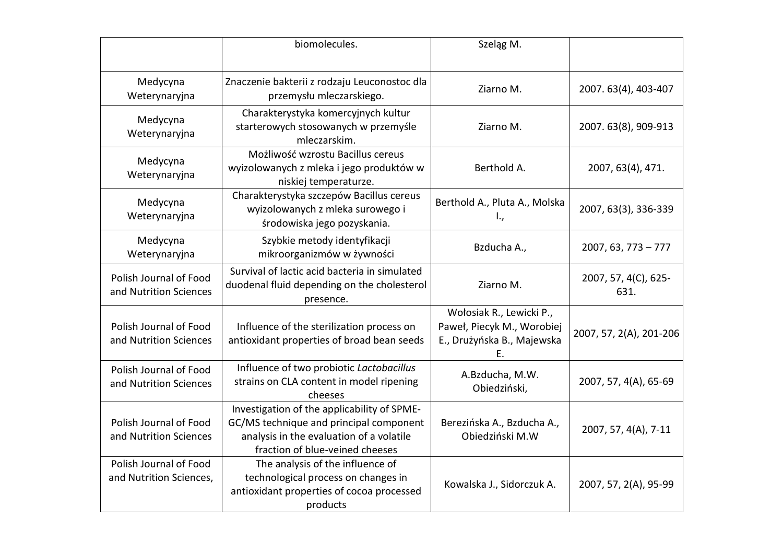|                                                   | biomolecules.                                                                                                                                                         | Szeląg M.                                                                                  |                              |
|---------------------------------------------------|-----------------------------------------------------------------------------------------------------------------------------------------------------------------------|--------------------------------------------------------------------------------------------|------------------------------|
| Medycyna<br>Weterynaryjna                         | Znaczenie bakterii z rodzaju Leuconostoc dla<br>przemysłu mleczarskiego.                                                                                              | Ziarno M.                                                                                  | 2007. 63(4), 403-407         |
| Medycyna<br>Weterynaryjna                         | Charakterystyka komercyjnych kultur<br>starterowych stosowanych w przemyśle<br>mleczarskim.                                                                           | Ziarno M.                                                                                  | 2007. 63(8), 909-913         |
| Medycyna<br>Weterynaryjna                         | Możliwość wzrostu Bacillus cereus<br>wyizolowanych z mleka i jego produktów w<br>niskiej temperaturze.                                                                | Berthold A.                                                                                | 2007, 63(4), 471.            |
| Medycyna<br>Weterynaryjna                         | Charakterystyka szczepów Bacillus cereus<br>wyizolowanych z mleka surowego i<br>środowiska jego pozyskania.                                                           | Berthold A., Pluta A., Molska<br>I.,                                                       | 2007, 63(3), 336-339         |
| Medycyna<br>Weterynaryjna                         | Szybkie metody identyfikacji<br>mikroorganizmów w żywności                                                                                                            | Bzducha A.,                                                                                | $2007, 63, 773 - 777$        |
| Polish Journal of Food<br>and Nutrition Sciences  | Survival of lactic acid bacteria in simulated<br>duodenal fluid depending on the cholesterol<br>presence.                                                             | Ziarno M.                                                                                  | 2007, 57, 4(C), 625-<br>631. |
| Polish Journal of Food<br>and Nutrition Sciences  | Influence of the sterilization process on<br>antioxidant properties of broad bean seeds                                                                               | Wołosiak R., Lewicki P.,<br>Paweł, Piecyk M., Worobiej<br>E., Drużyńska B., Majewska<br>Ε. | 2007, 57, 2(A), 201-206      |
| Polish Journal of Food<br>and Nutrition Sciences  | Influence of two probiotic Lactobacillus<br>strains on CLA content in model ripening<br>cheeses                                                                       | A.Bzducha, M.W.<br>Obiedziński,                                                            | 2007, 57, 4(A), 65-69        |
| Polish Journal of Food<br>and Nutrition Sciences  | Investigation of the applicability of SPME-<br>GC/MS technique and principal component<br>analysis in the evaluation of a volatile<br>fraction of blue-veined cheeses | Berezińska A., Bzducha A.,<br>Obiedziński M.W                                              | 2007, 57, 4(A), 7-11         |
| Polish Journal of Food<br>and Nutrition Sciences, | The analysis of the influence of<br>technological process on changes in<br>antioxidant properties of cocoa processed<br>products                                      | Kowalska J., Sidorczuk A.                                                                  | 2007, 57, 2(A), 95-99        |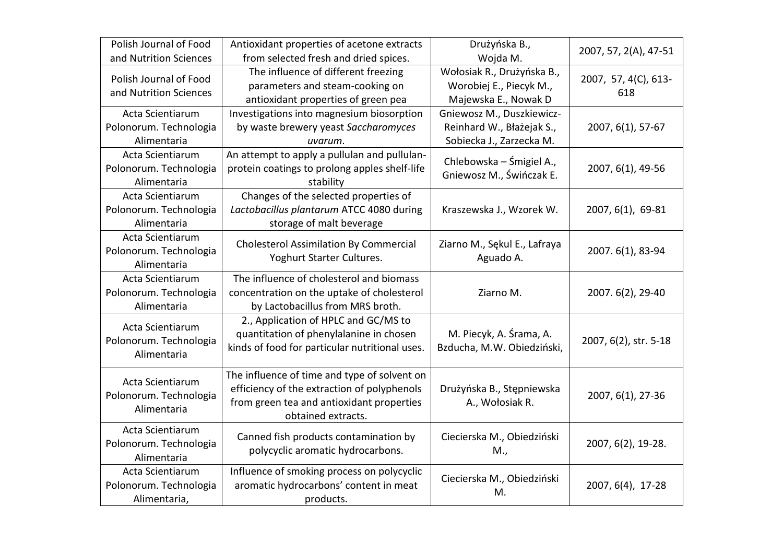| Polish Journal of Food<br>and Nutrition Sciences           | Antioxidant properties of acetone extracts<br>from selected fresh and dried spices.                                                                            | Drużyńska B.,<br>Wojda M.                                                          | 2007, 57, 2(A), 47-51       |
|------------------------------------------------------------|----------------------------------------------------------------------------------------------------------------------------------------------------------------|------------------------------------------------------------------------------------|-----------------------------|
| Polish Journal of Food<br>and Nutrition Sciences           | The influence of different freezing<br>parameters and steam-cooking on<br>antioxidant properties of green pea                                                  | Wołosiak R., Drużyńska B.,<br>Worobiej E., Piecyk M.,<br>Majewska E., Nowak D      | 2007, 57, 4(C), 613-<br>618 |
| Acta Scientiarum<br>Polonorum. Technologia<br>Alimentaria  | Investigations into magnesium biosorption<br>by waste brewery yeast Saccharomyces<br>uvarum.                                                                   | Gniewosz M., Duszkiewicz-<br>Reinhard W., Błażejak S.,<br>Sobiecka J., Zarzecka M. | 2007, 6(1), 57-67           |
| Acta Scientiarum<br>Polonorum. Technologia<br>Alimentaria  | An attempt to apply a pullulan and pullulan-<br>protein coatings to prolong apples shelf-life<br>stability                                                     | Chlebowska – Śmigiel A.,<br>Gniewosz M., Świńczak E.                               | 2007, 6(1), 49-56           |
| Acta Scientiarum<br>Polonorum. Technologia<br>Alimentaria  | Changes of the selected properties of<br>Lactobacillus plantarum ATCC 4080 during<br>storage of malt beverage                                                  | Kraszewska J., Wzorek W.                                                           | 2007, 6(1), 69-81           |
| Acta Scientiarum<br>Polonorum. Technologia<br>Alimentaria  | <b>Cholesterol Assimilation By Commercial</b><br>Yoghurt Starter Cultures.                                                                                     | Ziarno M., Sękul E., Lafraya<br>Aguado A.                                          | 2007. 6(1), 83-94           |
| Acta Scientiarum<br>Polonorum. Technologia<br>Alimentaria  | The influence of cholesterol and biomass<br>concentration on the uptake of cholesterol<br>by Lactobacillus from MRS broth.                                     | Ziarno M.                                                                          | 2007. 6(2), 29-40           |
| Acta Scientiarum<br>Polonorum. Technologia<br>Alimentaria  | 2., Application of HPLC and GC/MS to<br>quantitation of phenylalanine in chosen<br>kinds of food for particular nutritional uses.                              | M. Piecyk, A. Śrama, A.<br>Bzducha, M.W. Obiedziński,                              | 2007, 6(2), str. 5-18       |
| Acta Scientiarum<br>Polonorum. Technologia<br>Alimentaria  | The influence of time and type of solvent on<br>efficiency of the extraction of polyphenols<br>from green tea and antioxidant properties<br>obtained extracts. | Drużyńska B., Stępniewska<br>A., Wołosiak R.                                       | 2007, 6(1), 27-36           |
| Acta Scientiarum<br>Polonorum. Technologia<br>Alimentaria  | Canned fish products contamination by<br>polycyclic aromatic hydrocarbons.                                                                                     | Ciecierska M., Obiedziński<br>M.,                                                  | 2007, 6(2), 19-28.          |
| Acta Scientiarum<br>Polonorum. Technologia<br>Alimentaria, | Influence of smoking process on polycyclic<br>aromatic hydrocarbons' content in meat<br>products.                                                              | Ciecierska M., Obiedziński<br>M.                                                   | 2007, 6(4), 17-28           |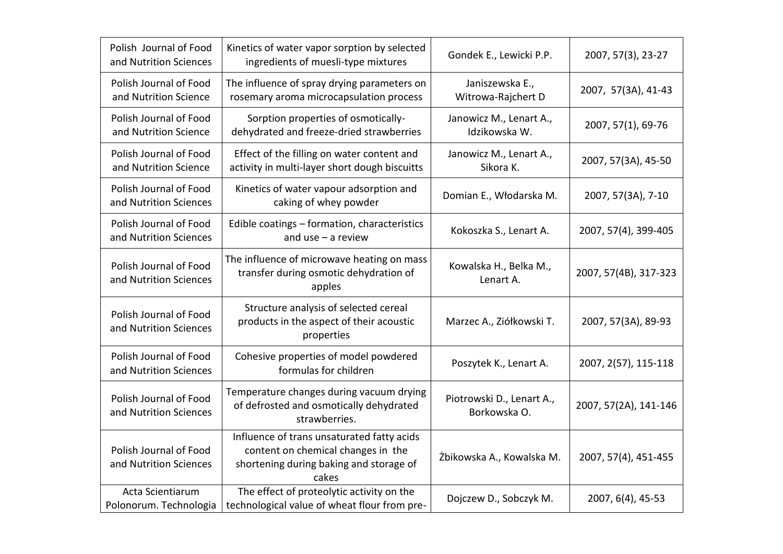| Polish Journal of Food<br>and Nutrition Sciences | Kinetics of water vapor sorption by selected<br>ingredients of muesli-type mixtures                                                  | Gondek E., Lewicki P.P.                   | 2007, 57(3), 23-27    |
|--------------------------------------------------|--------------------------------------------------------------------------------------------------------------------------------------|-------------------------------------------|-----------------------|
| Polish Journal of Food<br>and Nutrition Science  | The influence of spray drying parameters on<br>rosemary aroma microcapsulation process                                               | Janiszewska E.,<br>Witrowa-Rajchert D     | 2007, 57(3A), 41-43   |
| Polish Journal of Food<br>and Nutrition Science  | Sorption properties of osmotically-<br>dehydrated and freeze-dried strawberries                                                      | Janowicz M., Lenart A.,<br>Idzikowska W.  | 2007, 57(1), 69-76    |
| Polish Journal of Food<br>and Nutrition Science  | Effect of the filling on water content and<br>activity in multi-layer short dough biscuitts                                          | Janowicz M., Lenart A.,<br>Sikora K.      | 2007, 57(3A), 45-50   |
| Polish Journal of Food<br>and Nutrition Sciences | Kinetics of water vapour adsorption and<br>caking of whey powder                                                                     | Domian E., Włodarska M.                   | 2007, 57(3A), 7-10    |
| Polish Journal of Food<br>and Nutrition Sciences | Edible coatings - formation, characteristics<br>and $use - a$ review                                                                 | Kokoszka S., Lenart A.                    | 2007, 57(4), 399-405  |
| Polish Journal of Food<br>and Nutrition Sciences | The influence of microwave heating on mass<br>transfer during osmotic dehydration of<br>apples                                       | Kowalska H., Belka M.,<br>Lenart A.       | 2007, 57(4B), 317-323 |
| Polish Journal of Food<br>and Nutrition Sciences | Structure analysis of selected cereal<br>products in the aspect of their acoustic<br>properties                                      | Marzec A., Ziółkowski T.                  | 2007, 57(3A), 89-93   |
| Polish Journal of Food<br>and Nutrition Sciences | Cohesive properties of model powdered<br>formulas for children                                                                       | Poszytek K., Lenart A.                    | 2007, 2(57), 115-118  |
| Polish Journal of Food<br>and Nutrition Sciences | Temperature changes during vacuum drying<br>of defrosted and osmotically dehydrated<br>strawberries.                                 | Piotrowski D., Lenart A.,<br>Borkowska O. | 2007, 57(2A), 141-146 |
| Polish Journal of Food<br>and Nutrition Sciences | Influence of trans unsaturated fatty acids<br>content on chemical changes in the<br>shortening during baking and storage of<br>cakes | Żbikowska A., Kowalska M.                 | 2007, 57(4), 451-455  |
| Acta Scientiarum<br>Polonorum. Technologia       | The effect of proteolytic activity on the<br>technological value of wheat flour from pre-                                            | Dojczew D., Sobczyk M.                    | 2007, 6(4), 45-53     |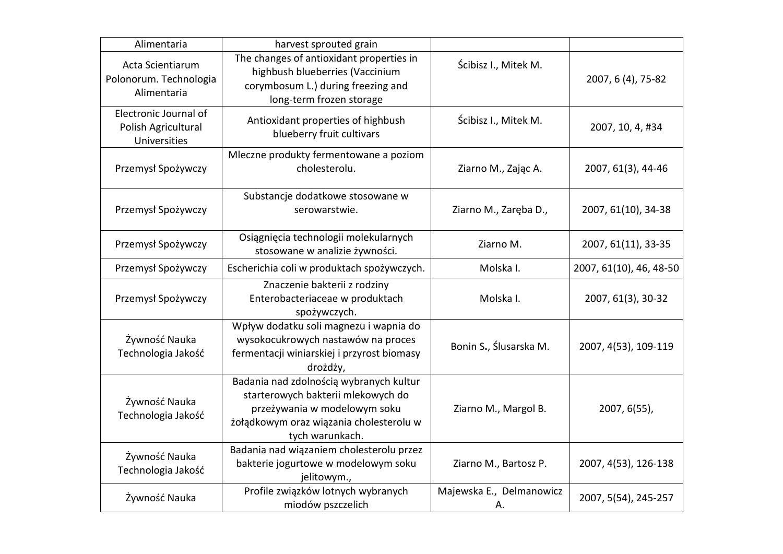| Alimentaria                                                  | harvest sprouted grain                                                                                                                                                      |                                |                         |
|--------------------------------------------------------------|-----------------------------------------------------------------------------------------------------------------------------------------------------------------------------|--------------------------------|-------------------------|
| Acta Scientiarum<br>Polonorum. Technologia<br>Alimentaria    | The changes of antioxidant properties in<br>highbush blueberries (Vaccinium<br>corymbosum L.) during freezing and<br>long-term frozen storage                               | Ścibisz I., Mitek M.           | 2007, 6 (4), 75-82      |
| Electronic Journal of<br>Polish Agricultural<br>Universities | Antioxidant properties of highbush<br>blueberry fruit cultivars                                                                                                             | Ścibisz I., Mitek M.           | 2007, 10, 4, #34        |
| Przemysł Spożywczy                                           | Mleczne produkty fermentowane a poziom<br>cholesterolu.                                                                                                                     | Ziarno M., Zając A.            | 2007, 61(3), 44-46      |
| Przemysł Spożywczy                                           | Substancje dodatkowe stosowane w<br>serowarstwie.                                                                                                                           | Ziarno M., Zaręba D.,          | 2007, 61(10), 34-38     |
| Przemysł Spożywczy                                           | Osiągnięcia technologii molekularnych<br>stosowane w analizie żywności.                                                                                                     | Ziarno M.                      | 2007, 61(11), 33-35     |
| Przemysł Spożywczy                                           | Escherichia coli w produktach spożywczych.                                                                                                                                  | Molska I.                      | 2007, 61(10), 46, 48-50 |
| Przemysł Spożywczy                                           | Znaczenie bakterii z rodziny<br>Enterobacteriaceae w produktach<br>spożywczych.                                                                                             | Molska I.                      | 2007, 61(3), 30-32      |
| Żywność Nauka<br>Technologia Jakość                          | Wpływ dodatku soli magnezu i wapnia do<br>wysokocukrowych nastawów na proces<br>fermentacji winiarskiej i przyrost biomasy<br>drożdży,                                      | Bonin S., Ślusarska M.         | 2007, 4(53), 109-119    |
| Żywność Nauka<br>Technologia Jakość                          | Badania nad zdolnością wybranych kultur<br>starterowych bakterii mlekowych do<br>przeżywania w modelowym soku<br>żołądkowym oraz wiązania cholesterolu w<br>tych warunkach. | Ziarno M., Margol B.           | 2007, 6(55),            |
| Żywność Nauka<br>Technologia Jakość                          | Badania nad wiązaniem cholesterolu przez<br>bakterie jogurtowe w modelowym soku<br>jelitowym.,                                                                              | Ziarno M., Bartosz P.          | 2007, 4(53), 126-138    |
| Żywność Nauka                                                | Profile związków lotnych wybranych<br>miodów pszczelich                                                                                                                     | Majewska E., Delmanowicz<br>А. | 2007, 5(54), 245-257    |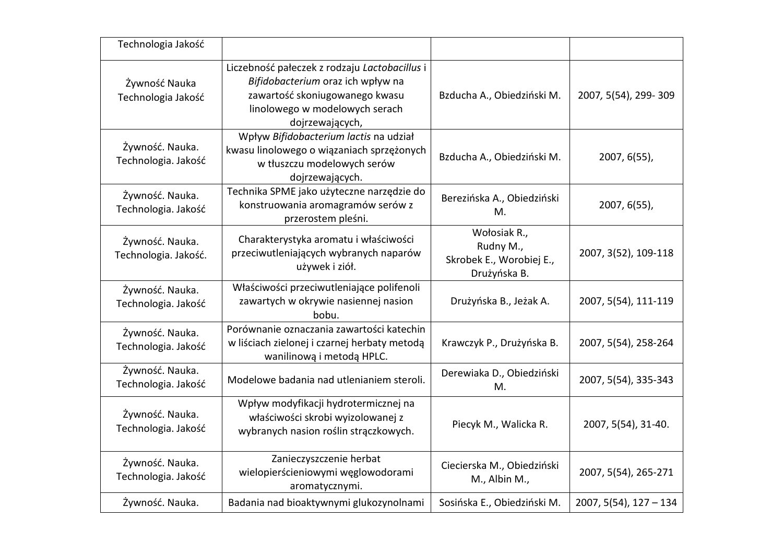| Technologia Jakość                      |                                                                                                                                                                           |                                                                       |                          |
|-----------------------------------------|---------------------------------------------------------------------------------------------------------------------------------------------------------------------------|-----------------------------------------------------------------------|--------------------------|
| Żywność Nauka<br>Technologia Jakość     | Liczebność pałeczek z rodzaju Lactobacillus i<br>Bifidobacterium oraz ich wpływ na<br>zawartość skoniugowanego kwasu<br>linolowego w modelowych serach<br>dojrzewających, | Bzducha A., Obiedziński M.                                            | 2007, 5(54), 299-309     |
| Żywność. Nauka.<br>Technologia. Jakość  | Wpływ Bifidobacterium lactis na udział<br>kwasu linolowego o wiązaniach sprzężonych<br>w tłuszczu modelowych serów<br>dojrzewających.                                     | Bzducha A., Obiedziński M.                                            | $2007, 6(55)$ ,          |
| Żywność. Nauka.<br>Technologia. Jakość  | Technika SPME jako użyteczne narzędzie do<br>konstruowania aromagramów serów z<br>przerostem pleśni.                                                                      | Berezińska A., Obiedziński<br>M.                                      | 2007, 6(55),             |
| Żywność. Nauka.<br>Technologia. Jakość. | Charakterystyka aromatu i właściwości<br>przeciwutleniających wybranych naparów<br>używek i ziół.                                                                         | Wołosiak R.,<br>Rudny M.,<br>Skrobek E., Worobiej E.,<br>Drużyńska B. | 2007, 3(52), 109-118     |
| Żywność. Nauka.<br>Technologia. Jakość  | Właściwości przeciwutleniające polifenoli<br>zawartych w okrywie nasiennej nasion<br>bobu.                                                                                | Drużyńska B., Jeżak A.                                                | 2007, 5(54), 111-119     |
| Żywność. Nauka.<br>Technologia. Jakość  | Porównanie oznaczania zawartości katechin<br>w liściach zielonej i czarnej herbaty metodą<br>wanilinową i metodą HPLC.                                                    | Krawczyk P., Drużyńska B.                                             | 2007, 5(54), 258-264     |
| Żywność. Nauka.<br>Technologia. Jakość  | Modelowe badania nad utlenianiem steroli.                                                                                                                                 | Derewiaka D., Obiedziński<br>M.                                       | 2007, 5(54), 335-343     |
| Żywność. Nauka.<br>Technologia. Jakość  | Wpływ modyfikacji hydrotermicznej na<br>właściwości skrobi wyizolowanej z<br>wybranych nasion roślin strączkowych.                                                        | Piecyk M., Walicka R.                                                 | 2007, 5(54), 31-40.      |
| Żywność. Nauka.<br>Technologia. Jakość  | Zanieczyszczenie herbat<br>wielopierścieniowymi węglowodorami<br>aromatycznymi.                                                                                           | Ciecierska M., Obiedziński<br>M., Albin M.,                           | 2007, 5(54), 265-271     |
| Żywność. Nauka.                         | Badania nad bioaktywnymi glukozynolnami                                                                                                                                   | Sosińska E., Obiedziński M.                                           | $2007, 5(54), 127 - 134$ |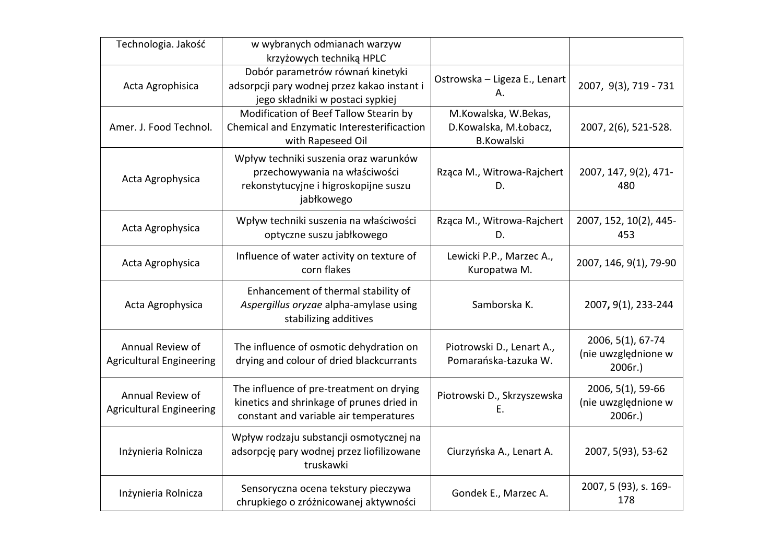| Technologia. Jakość                                 | w wybranych odmianach warzyw<br>krzyżowych techniką HPLC                                                                        |                                                                    |                                                     |
|-----------------------------------------------------|---------------------------------------------------------------------------------------------------------------------------------|--------------------------------------------------------------------|-----------------------------------------------------|
| Acta Agrophisica                                    | Dobór parametrów równań kinetyki<br>adsorpcji pary wodnej przez kakao instant i<br>jego składniki w postaci sypkiej             | Ostrowska - Ligeza E., Lenart<br>А.                                | 2007, 9(3), 719 - 731                               |
| Amer. J. Food Technol.                              | Modification of Beef Tallow Stearin by<br>Chemical and Enzymatic Interesterificaction<br>with Rapeseed Oil                      | M.Kowalska, W.Bekas,<br>D.Kowalska, M.Łobacz,<br><b>B.Kowalski</b> | 2007, 2(6), 521-528.                                |
| Acta Agrophysica                                    | Wpływ techniki suszenia oraz warunków<br>przechowywania na właściwości<br>rekonstytucyjne i higroskopijne suszu<br>jabłkowego   | Rząca M., Witrowa-Rajchert<br>D.                                   | 2007, 147, 9(2), 471-<br>480                        |
| Acta Agrophysica                                    | Wpływ techniki suszenia na właściwości<br>optyczne suszu jabłkowego                                                             | Rząca M., Witrowa-Rajchert<br>D.                                   | 2007, 152, 10(2), 445-<br>453                       |
| Acta Agrophysica                                    | Influence of water activity on texture of<br>corn flakes                                                                        | Lewicki P.P., Marzec A.,<br>Kuropatwa M.                           | 2007, 146, 9(1), 79-90                              |
| Acta Agrophysica                                    | Enhancement of thermal stability of<br>Aspergillus oryzae alpha-amylase using<br>stabilizing additives                          | Samborska K.                                                       | 2007, 9(1), 233-244                                 |
| Annual Review of<br><b>Agricultural Engineering</b> | The influence of osmotic dehydration on<br>drying and colour of dried blackcurrants                                             | Piotrowski D., Lenart A.,<br>Pomarańska-Łazuka W.                  | 2006, 5(1), 67-74<br>(nie uwzględnione w<br>2006r.  |
| Annual Review of<br><b>Agricultural Engineering</b> | The influence of pre-treatment on drying<br>kinetics and shrinkage of prunes dried in<br>constant and variable air temperatures | Piotrowski D., Skrzyszewska<br>Ε.                                  | 2006, 5(1), 59-66<br>(nie uwzględnione w<br>2006r.) |
| Inżynieria Rolnicza                                 | Wpływ rodzaju substancji osmotycznej na<br>adsorpcję pary wodnej przez liofilizowane<br>truskawki                               | Ciurzyńska A., Lenart A.                                           | 2007, 5(93), 53-62                                  |
| Inżynieria Rolnicza                                 | Sensoryczna ocena tekstury pieczywa<br>chrupkiego o zróżnicowanej aktywności                                                    | Gondek E., Marzec A.                                               | 2007, 5 (93), s. 169-<br>178                        |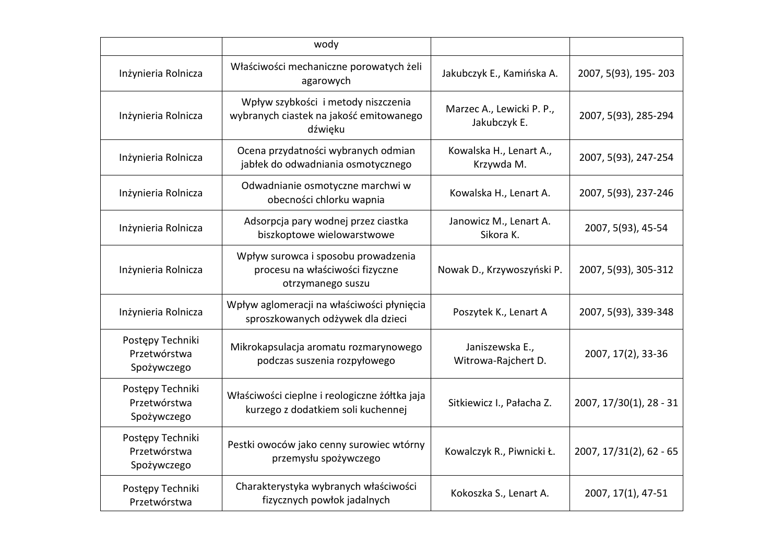|                                                 | wody                                                                                        |                                           |                         |
|-------------------------------------------------|---------------------------------------------------------------------------------------------|-------------------------------------------|-------------------------|
| Inżynieria Rolnicza                             | Właściwości mechaniczne porowatych żeli<br>agarowych                                        | Jakubczyk E., Kamińska A.                 | 2007, 5(93), 195-203    |
| Inżynieria Rolnicza                             | Wpływ szybkości i metody niszczenia<br>wybranych ciastek na jakość emitowanego<br>dźwięku   | Marzec A., Lewicki P. P.,<br>Jakubczyk E. | 2007, 5(93), 285-294    |
| Inżynieria Rolnicza                             | Ocena przydatności wybranych odmian<br>jabłek do odwadniania osmotycznego                   | Kowalska H., Lenart A.,<br>Krzywda M.     | 2007, 5(93), 247-254    |
| Inżynieria Rolnicza                             | Odwadnianie osmotyczne marchwi w<br>obecności chlorku wapnia                                | Kowalska H., Lenart A.                    | 2007, 5(93), 237-246    |
| Inżynieria Rolnicza                             | Adsorpcja pary wodnej przez ciastka<br>biszkoptowe wielowarstwowe                           | Janowicz M., Lenart A.<br>Sikora K.       | 2007, 5(93), 45-54      |
| Inżynieria Rolnicza                             | Wpływ surowca i sposobu prowadzenia<br>procesu na właściwości fizyczne<br>otrzymanego suszu | Nowak D., Krzywoszyński P.                | 2007, 5(93), 305-312    |
| Inżynieria Rolnicza                             | Wpływ aglomeracji na właściwości płynięcia<br>sproszkowanych odżywek dla dzieci             | Poszytek K., Lenart A                     | 2007, 5(93), 339-348    |
| Postępy Techniki<br>Przetwórstwa<br>Spożywczego | Mikrokapsulacja aromatu rozmarynowego<br>podczas suszenia rozpyłowego                       | Janiszewska E.,<br>Witrowa-Rajchert D.    | 2007, 17(2), 33-36      |
| Postępy Techniki<br>Przetwórstwa<br>Spożywczego | Właściwości cieplne i reologiczne żółtka jaja<br>kurzego z dodatkiem soli kuchennej         | Sitkiewicz I., Pałacha Z.                 | 2007, 17/30(1), 28 - 31 |
| Postępy Techniki<br>Przetwórstwa<br>Spożywczego | Pestki owoców jako cenny surowiec wtórny<br>przemysłu spożywczego                           | Kowalczyk R., Piwnicki Ł.                 | 2007, 17/31(2), 62 - 65 |
| Postępy Techniki<br>Przetwórstwa                | Charakterystyka wybranych właściwości<br>fizycznych powłok jadalnych                        | Kokoszka S., Lenart A.                    | 2007, 17(1), 47-51      |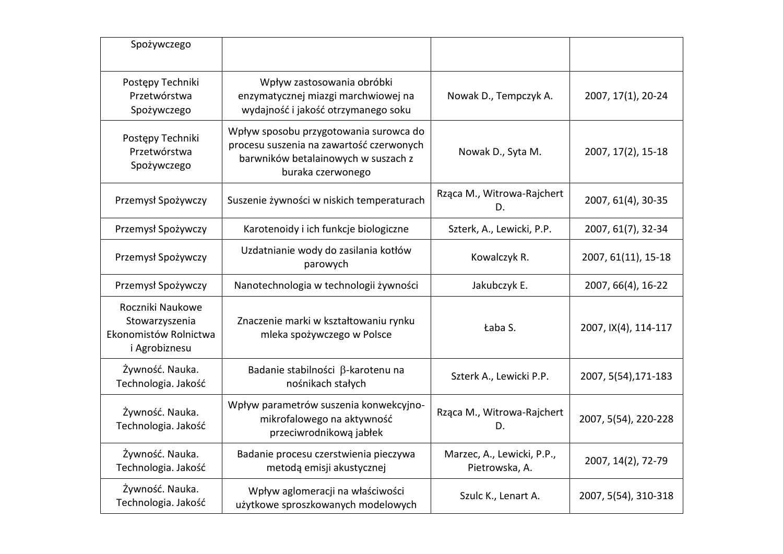| Spożywczego                                                                  |                                                                                                                                                |                                              |                      |
|------------------------------------------------------------------------------|------------------------------------------------------------------------------------------------------------------------------------------------|----------------------------------------------|----------------------|
| Postępy Techniki<br>Przetwórstwa<br>Spożywczego                              | Wpływ zastosowania obróbki<br>enzymatycznej miazgi marchwiowej na<br>wydajność i jakość otrzymanego soku                                       | Nowak D., Tempczyk A.                        | 2007, 17(1), 20-24   |
| Postępy Techniki<br>Przetwórstwa<br>Spożywczego                              | Wpływ sposobu przygotowania surowca do<br>procesu suszenia na zawartość czerwonych<br>barwników betalainowych w suszach z<br>buraka czerwonego | Nowak D., Syta M.                            | 2007, 17(2), 15-18   |
| Przemysł Spożywczy                                                           | Suszenie żywności w niskich temperaturach                                                                                                      | Rząca M., Witrowa-Rajchert<br>D.             | 2007, 61(4), 30-35   |
| Przemysł Spożywczy                                                           | Karotenoidy i ich funkcje biologiczne                                                                                                          | Szterk, A., Lewicki, P.P.                    | 2007, 61(7), 32-34   |
| Przemysł Spożywczy                                                           | Uzdatnianie wody do zasilania kotłów<br>parowych                                                                                               | Kowalczyk R.                                 | 2007, 61(11), 15-18  |
| Przemysł Spożywczy                                                           | Nanotechnologia w technologii żywności                                                                                                         | Jakubczyk E.                                 | 2007, 66(4), 16-22   |
| Roczniki Naukowe<br>Stowarzyszenia<br>Ekonomistów Rolnictwa<br>i Agrobiznesu | Znaczenie marki w kształtowaniu rynku<br>mleka spożywczego w Polsce                                                                            | Łaba S.                                      | 2007, IX(4), 114-117 |
| Żywność. Nauka.<br>Technologia. Jakość                                       | Badanie stabilności β-karotenu na<br>nośnikach stałych                                                                                         | Szterk A., Lewicki P.P.                      | 2007, 5(54), 171-183 |
| Żywność. Nauka.<br>Technologia. Jakość                                       | Wpływ parametrów suszenia konwekcyjno-<br>mikrofalowego na aktywność<br>przeciwrodnikową jabłek                                                | Rząca M., Witrowa-Rajchert<br>D.             | 2007, 5(54), 220-228 |
| Żywność. Nauka.<br>Technologia. Jakość                                       | Badanie procesu czerstwienia pieczywa<br>metodą emisji akustycznej                                                                             | Marzec, A., Lewicki, P.P.,<br>Pietrowska, A. | 2007, 14(2), 72-79   |
| Żywność. Nauka.<br>Technologia. Jakość                                       | Wpływ aglomeracji na właściwości<br>użytkowe sproszkowanych modelowych                                                                         | Szulc K., Lenart A.                          | 2007, 5(54), 310-318 |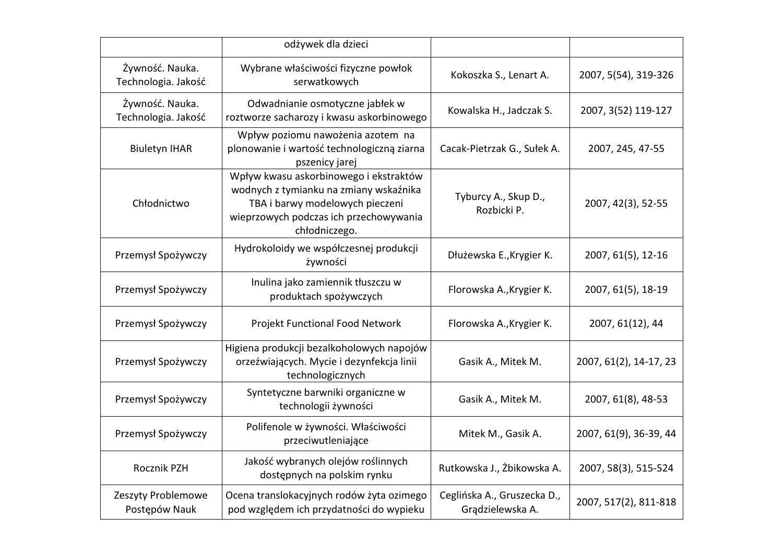|                                        | odżywek dla dzieci                                                                                                                                                             |                                                 |                        |
|----------------------------------------|--------------------------------------------------------------------------------------------------------------------------------------------------------------------------------|-------------------------------------------------|------------------------|
| Żywność. Nauka.<br>Technologia. Jakość | Wybrane właściwości fizyczne powłok<br>serwatkowych                                                                                                                            | Kokoszka S., Lenart A.                          | 2007, 5(54), 319-326   |
| Żywność. Nauka.<br>Technologia. Jakość | Odwadnianie osmotyczne jabłek w<br>roztworze sacharozy i kwasu askorbinowego                                                                                                   | Kowalska H., Jadczak S.                         | 2007, 3(52) 119-127    |
| <b>Biuletyn IHAR</b>                   | Wpływ poziomu nawożenia azotem na<br>plonowanie i wartość technologiczną ziarna<br>pszenicy jarej                                                                              | Cacak-Pietrzak G., Sułek A.                     | 2007, 245, 47-55       |
| Chłodnictwo                            | Wpływ kwasu askorbinowego i ekstraktów<br>wodnych z tymianku na zmiany wskaźnika<br>TBA i barwy modelowych pieczeni<br>wieprzowych podczas ich przechowywania<br>chłodniczego. | Tyburcy A., Skup D.,<br>Rozbicki P.             | 2007, 42(3), 52-55     |
| Przemysł Spożywczy                     | Hydrokoloidy we współczesnej produkcji<br>żywności                                                                                                                             | Dłużewska E., Krygier K.                        | 2007, 61(5), 12-16     |
| Przemysł Spożywczy                     | Inulina jako zamiennik tłuszczu w<br>produktach spożywczych                                                                                                                    | Florowska A., Krygier K.                        | 2007, 61(5), 18-19     |
| Przemysł Spożywczy                     | Projekt Functional Food Network                                                                                                                                                | Florowska A., Krygier K.                        | 2007, 61(12), 44       |
| Przemysł Spożywczy                     | Higiena produkcji bezalkoholowych napojów<br>orzeźwiających. Mycie i dezynfekcja linii<br>technologicznych                                                                     | Gasik A., Mitek M.                              | 2007, 61(2), 14-17, 23 |
| Przemysł Spożywczy                     | Syntetyczne barwniki organiczne w<br>technologii żywności                                                                                                                      | Gasik A., Mitek M.                              | 2007, 61(8), 48-53     |
| Przemysł Spożywczy                     | Polifenole w żywności. Właściwości<br>przeciwutleniające                                                                                                                       | Mitek M., Gasik A.                              | 2007, 61(9), 36-39, 44 |
| Rocznik PZH                            | Jakość wybranych olejów roślinnych<br>dostępnych na polskim rynku                                                                                                              | Rutkowska J., Żbikowska A.                      | 2007, 58(3), 515-524   |
| Zeszyty Problemowe<br>Postępów Nauk    | Ocena translokacyjnych rodów żyta ozimego<br>pod względem ich przydatności do wypieku                                                                                          | Ceglińska A., Gruszecka D.,<br>Grądzielewska A. | 2007, 517(2), 811-818  |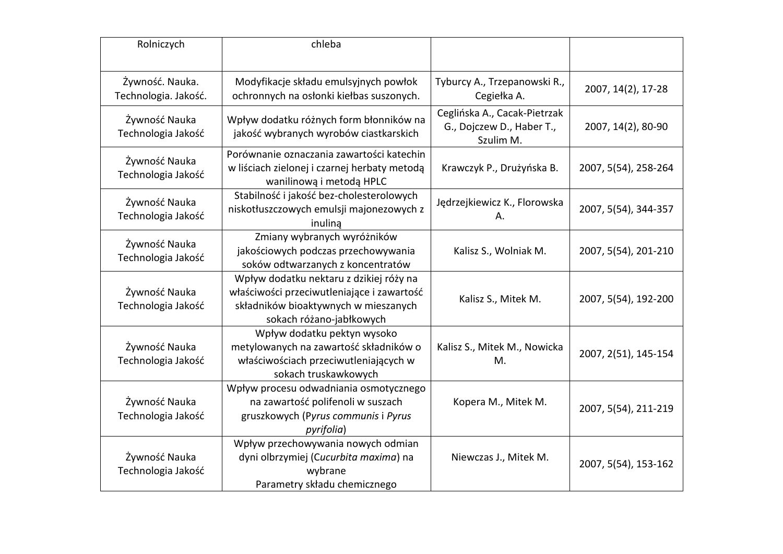| Rolniczych                              | chleba                                                                                                                                                    |                                                                        |                      |  |
|-----------------------------------------|-----------------------------------------------------------------------------------------------------------------------------------------------------------|------------------------------------------------------------------------|----------------------|--|
| Żywność. Nauka.<br>Technologia. Jakość. | Modyfikacje składu emulsyjnych powłok<br>ochronnych na osłonki kiełbas suszonych.                                                                         | Tyburcy A., Trzepanowski R.,<br>Cegiełka A.                            | 2007, 14(2), 17-28   |  |
| Żywność Nauka<br>Technologia Jakość     | Wpływ dodatku różnych form błonników na<br>jakość wybranych wyrobów ciastkarskich                                                                         | Ceglińska A., Cacak-Pietrzak<br>G., Dojczew D., Haber T.,<br>Szulim M. | 2007, 14(2), 80-90   |  |
| Żywność Nauka<br>Technologia Jakość     | Porównanie oznaczania zawartości katechin<br>w liściach zielonej i czarnej herbaty metodą<br>wanilinową i metodą HPLC                                     | Krawczyk P., Drużyńska B.                                              | 2007, 5(54), 258-264 |  |
| Żywność Nauka<br>Technologia Jakość     | Stabilność i jakość bez-cholesterolowych<br>niskotłuszczowych emulsji majonezowych z<br>inulina                                                           | Jędrzejkiewicz K., Florowska<br>А.                                     | 2007, 5(54), 344-357 |  |
| Żywność Nauka<br>Technologia Jakość     | Zmiany wybranych wyróżników<br>jakościowych podczas przechowywania<br>soków odtwarzanych z koncentratów                                                   | Kalisz S., Wolniak M.                                                  | 2007, 5(54), 201-210 |  |
| Żywność Nauka<br>Technologia Jakość     | Wpływ dodatku nektaru z dzikiej róży na<br>właściwości przeciwutleniające i zawartość<br>składników bioaktywnych w mieszanych<br>sokach różano-jabłkowych | Kalisz S., Mitek M.                                                    | 2007, 5(54), 192-200 |  |
| Żywność Nauka<br>Technologia Jakość     | Wpływ dodatku pektyn wysoko<br>metylowanych na zawartość składników o<br>właściwościach przeciwutleniających w<br>sokach truskawkowych                    | Kalisz S., Mitek M., Nowicka<br>M.                                     | 2007, 2(51), 145-154 |  |
| Żywność Nauka<br>Technologia Jakość     | Wpływ procesu odwadniania osmotycznego<br>na zawartość polifenoli w suszach<br>gruszkowych (Pyrus communis i Pyrus<br>pyrifolia)                          | Kopera M., Mitek M.                                                    | 2007, 5(54), 211-219 |  |
| Żywność Nauka<br>Technologia Jakość     | Wpływ przechowywania nowych odmian<br>dyni olbrzymiej (Cucurbita maxima) na<br>wybrane<br>Parametry składu chemicznego                                    | Niewczas J., Mitek M.                                                  | 2007, 5(54), 153-162 |  |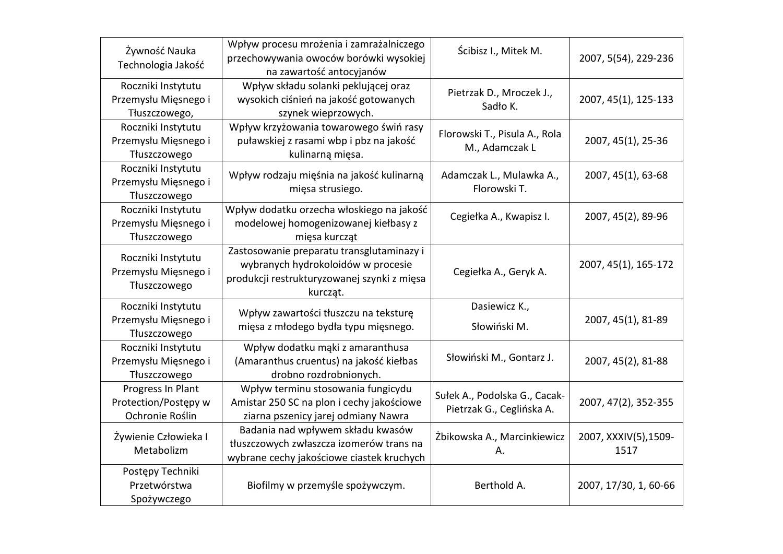| Żywność Nauka                         | Wpływ procesu mrożenia i zamrażalniczego                           | Ścibisz I., Mitek M.          | 2007, 5(54), 229-236  |  |
|---------------------------------------|--------------------------------------------------------------------|-------------------------------|-----------------------|--|
| Technologia Jakość                    | przechowywania owoców borówki wysokiej<br>na zawartość antocyjanów |                               |                       |  |
| Roczniki Instytutu                    | Wpływ składu solanki peklującej oraz                               | Pietrzak D., Mroczek J.,      |                       |  |
| Przemysłu Mięsnego i<br>Tłuszczowego, | wysokich ciśnień na jakość gotowanych<br>szynek wieprzowych.       | Sadło K.                      | 2007, 45(1), 125-133  |  |
| Roczniki Instytutu                    | Wpływ krzyżowania towarowego świń rasy                             |                               |                       |  |
| Przemysłu Mięsnego i                  | puławskiej z rasami wbp i pbz na jakość                            | Florowski T., Pisula A., Rola | 2007, 45(1), 25-36    |  |
| Tłuszczowego                          | kulinarną mięsa.                                                   | M., Adamczak L                |                       |  |
| Roczniki Instytutu                    |                                                                    |                               |                       |  |
| Przemysłu Mięsnego i                  | Wpływ rodzaju mięśnia na jakość kulinarną                          | Adamczak L., Mulawka A.,      | 2007, 45(1), 63-68    |  |
| Tłuszczowego                          | mięsa strusiego.                                                   | Florowski T.                  |                       |  |
| Roczniki Instytutu                    | Wpływ dodatku orzecha włoskiego na jakość                          | Cegiełka A., Kwapisz I.       | 2007, 45(2), 89-96    |  |
| Przemysłu Mięsnego i                  | modelowej homogenizowanej kiełbasy z                               |                               |                       |  |
| Tłuszczowego                          | mięsa kurcząt                                                      |                               |                       |  |
| Roczniki Instytutu                    | Zastosowanie preparatu transglutaminazy i                          |                               |                       |  |
| Przemysłu Mięsnego i                  | wybranych hydrokoloidów w procesie                                 | Cegiełka A., Geryk A.         | 2007, 45(1), 165-172  |  |
| Tłuszczowego                          | produkcji restrukturyzowanej szynki z mięsa                        |                               |                       |  |
|                                       | kurcząt.                                                           |                               |                       |  |
| Roczniki Instytutu                    | Wpływ zawartości tłuszczu na teksturę                              | Dasiewicz K.,                 |                       |  |
| Przemysłu Mięsnego i                  | mięsa z młodego bydła typu mięsnego.                               | Słowiński M.                  | 2007, 45(1), 81-89    |  |
| Tłuszczowego                          |                                                                    |                               |                       |  |
| Roczniki Instytutu                    | Wpływ dodatku mąki z amaranthusa                                   | Słowiński M., Gontarz J.      |                       |  |
| Przemysłu Mięsnego i                  | (Amaranthus cruentus) na jakość kiełbas<br>drobno rozdrobnionych.  |                               | 2007, 45(2), 81-88    |  |
| Tłuszczowego<br>Progress In Plant     | Wpływ terminu stosowania fungicydu                                 |                               |                       |  |
| Protection/Postępy w                  | Amistar 250 SC na plon i cechy jakościowe                          | Sułek A., Podolska G., Cacak- | 2007, 47(2), 352-355  |  |
| Ochronie Roślin                       | ziarna pszenicy jarej odmiany Nawra                                | Pietrzak G., Ceglińska A.     |                       |  |
|                                       | Badania nad wpływem składu kwasów                                  |                               |                       |  |
| Żywienie Człowieka I                  | tłuszczowych zwłaszcza izomerów trans na                           | Żbikowska A., Marcinkiewicz   | 2007, XXXIV(5), 1509- |  |
| Metabolizm                            | wybrane cechy jakościowe ciastek kruchych                          | А.                            | 1517                  |  |
| Postępy Techniki                      |                                                                    |                               |                       |  |
| Przetwórstwa                          | Biofilmy w przemyśle spożywczym.                                   | Berthold A.                   | 2007, 17/30, 1, 60-66 |  |
| Spożywczego                           |                                                                    |                               |                       |  |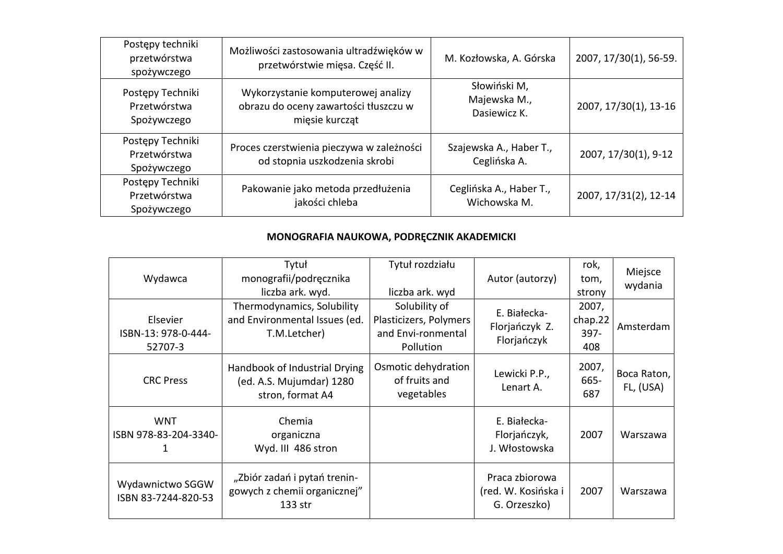| Postępy techniki<br>przetwórstwa<br>spożywczego | Możliwości zastosowania ultradźwięków w<br>przetwórstwie mięsa. Część II.                     | M. Kozłowska, A. Górska                      | 2007, 17/30(1), 56-59. |
|-------------------------------------------------|-----------------------------------------------------------------------------------------------|----------------------------------------------|------------------------|
| Postępy Techniki<br>Przetwórstwa<br>Spożywczego | Wykorzystanie komputerowej analizy<br>obrazu do oceny zawartości tłuszczu w<br>mięsie kurcząt | Słowiński M,<br>Majewska M.,<br>Dasiewicz K. | 2007, 17/30(1), 13-16  |
| Postępy Techniki<br>Przetwórstwa<br>Spożywczego | Proces czerstwienia pieczywa w zależności<br>od stopnia uszkodzenia skrobi                    | Szajewska A., Haber T.,<br>Ceglińska A.      | 2007, 17/30(1), 9-12   |
| Postępy Techniki<br>Przetwórstwa<br>Spożywczego | Pakowanie jako metoda przedłużenia<br>jakości chleba                                          | Ceglińska A., Haber T.,<br>Wichowska M.      | 2007, 17/31(2), 12-14  |

## **MONOGRAFIA NAUKOWA, PODRĘCZNIK AKADEMICKI**

| Wydawca                                    | Tytuł<br>monografii/podręcznika<br>liczba ark. wyd.                           | Tytuł rozdziału<br>liczba ark. wyd                                         | Autor (autorzy)                                       | rok,<br>tom,<br>strony          | Miejsce<br>wydania       |
|--------------------------------------------|-------------------------------------------------------------------------------|----------------------------------------------------------------------------|-------------------------------------------------------|---------------------------------|--------------------------|
| Elsevier<br>ISBN-13: 978-0-444-<br>52707-3 | Thermodynamics, Solubility<br>and Environmental Issues (ed.<br>T.M.Letcher)   | Solubility of<br>Plasticizers, Polymers<br>and Envi-ronmental<br>Pollution | E. Białecka-<br>Florjańczyk Z.<br>Florjańczyk         | 2007,<br>chap.22<br>397-<br>408 | Amsterdam                |
| <b>CRC Press</b>                           | Handbook of Industrial Drying<br>(ed. A.S. Mujumdar) 1280<br>stron, format A4 | Osmotic dehydration<br>of fruits and<br>vegetables                         | Lewicki P.P.,<br>Lenart A.                            | 2007,<br>665-<br>687            | Boca Raton,<br>FL, (USA) |
| <b>WNT</b><br>ISBN 978-83-204-3340-        | Chemia<br>organiczna<br>Wyd. III 486 stron                                    |                                                                            | E. Białecka-<br>Florjańczyk,<br>J. Włostowska         | 2007                            | Warszawa                 |
| Wydawnictwo SGGW<br>ISBN 83-7244-820-53    | "Zbiór zadań i pytań trenin-<br>gowych z chemii organicznej"<br>133 str       |                                                                            | Praca zbiorowa<br>(red. W. Kosińska i<br>G. Orzeszko) | 2007                            | Warszawa                 |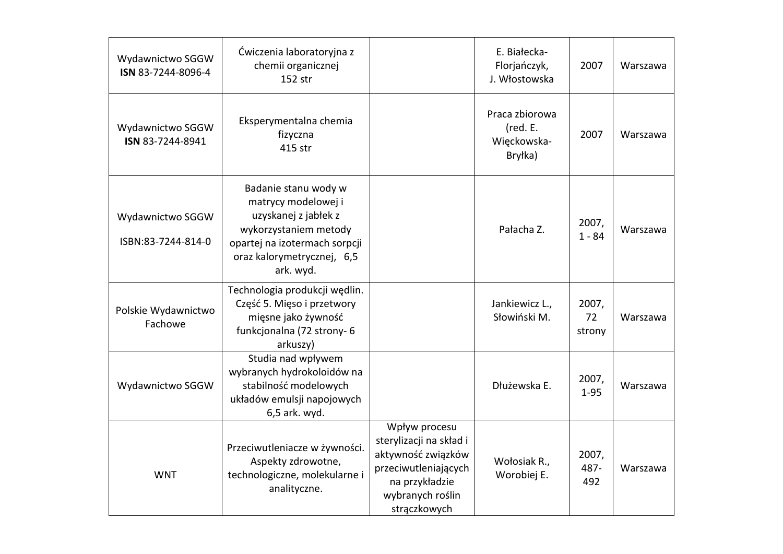| Wydawnictwo SGGW<br>ISN 83-7244-8096-4 | Ćwiczenia laboratoryjna z<br>chemii organicznej<br>152 str                                                                                                               |                                                                                                                                              | E. Białecka-<br>Florjańczyk,<br>J. Włostowska        | 2007                  | Warszawa |
|----------------------------------------|--------------------------------------------------------------------------------------------------------------------------------------------------------------------------|----------------------------------------------------------------------------------------------------------------------------------------------|------------------------------------------------------|-----------------------|----------|
| Wydawnictwo SGGW<br>ISN 83-7244-8941   | Eksperymentalna chemia<br>fizyczna<br>415 str                                                                                                                            |                                                                                                                                              | Praca zbiorowa<br>(red. E.<br>Więckowska-<br>Bryłka) | 2007                  | Warszawa |
| Wydawnictwo SGGW<br>ISBN:83-7244-814-0 | Badanie stanu wody w<br>matrycy modelowej i<br>uzyskanej z jabłek z<br>wykorzystaniem metody<br>opartej na izotermach sorpcji<br>oraz kalorymetrycznej, 6,5<br>ark. wyd. |                                                                                                                                              | Pałacha Z.                                           | 2007,<br>$1 - 84$     | Warszawa |
| Polskie Wydawnictwo<br>Fachowe         | Technologia produkcji wędlin.<br>Część 5. Mięso i przetwory<br>mięsne jako żywność<br>funkcjonalna (72 strony-6<br>arkuszy)                                              |                                                                                                                                              | Jankiewicz L.,<br>Słowiński M.                       | 2007,<br>72<br>strony | Warszawa |
| Wydawnictwo SGGW                       | Studia nad wpływem<br>wybranych hydrokoloidów na<br>stabilność modelowych<br>układów emulsji napojowych<br>6,5 ark. wyd.                                                 |                                                                                                                                              | Dłużewska E.                                         | 2007,<br>$1 - 95$     | Warszawa |
| <b>WNT</b>                             | Przeciwutleniacze w żywności.<br>Aspekty zdrowotne,<br>technologiczne, molekularne i<br>analityczne.                                                                     | Wpływ procesu<br>sterylizacji na skład i<br>aktywność związków<br>przeciwutleniających<br>na przykładzie<br>wybranych roślin<br>strączkowych | Wołosiak R.,<br>Worobiej E.                          | 2007,<br>487-<br>492  | Warszawa |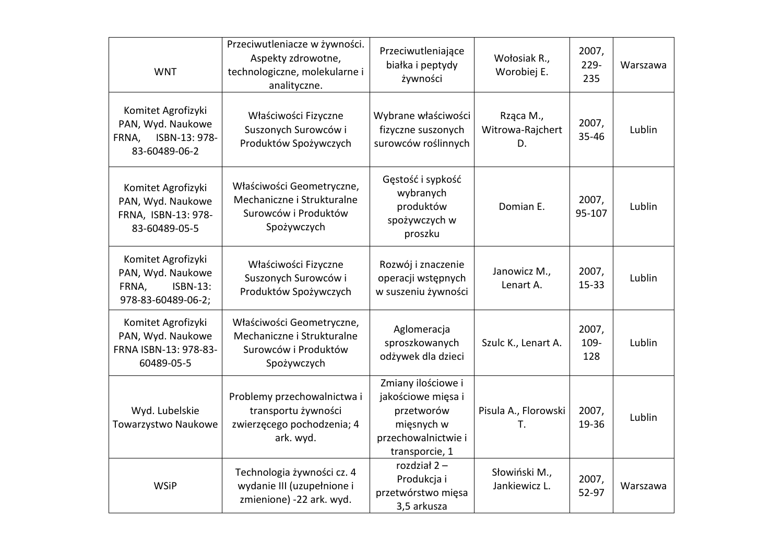| <b>WNT</b>                                                                                | Przeciwutleniacze w żywności.<br>Aspekty zdrowotne,<br>technologiczne, molekularne i<br>analityczne. | Przeciwutleniające<br>białka i peptydy<br>żywności                                                            | Wołosiak R.,<br>Worobiej E.         | 2007,<br>229-<br>235 | Warszawa |
|-------------------------------------------------------------------------------------------|------------------------------------------------------------------------------------------------------|---------------------------------------------------------------------------------------------------------------|-------------------------------------|----------------------|----------|
| Komitet Agrofizyki<br>PAN, Wyd. Naukowe<br>ISBN-13: 978-<br>FRNA,<br>83-60489-06-2        | Właściwości Fizyczne<br>Suszonych Surowców i<br>Produktów Spożywczych                                | Wybrane właściwości<br>fizyczne suszonych<br>surowców roślinnych                                              | Rząca M.,<br>Witrowa-Rajchert<br>D. | 2007,<br>35-46       | Lublin   |
| Komitet Agrofizyki<br>PAN, Wyd. Naukowe<br>FRNA, ISBN-13: 978-<br>83-60489-05-5           | Właściwości Geometryczne,<br>Mechaniczne i Strukturalne<br>Surowców i Produktów<br>Spożywczych       | Gęstość i sypkość<br>wybranych<br>produktów<br>spożywczych w<br>proszku                                       | Domian E.                           | 2007,<br>95-107      | Lublin   |
| Komitet Agrofizyki<br>PAN, Wyd. Naukowe<br><b>ISBN-13:</b><br>FRNA,<br>978-83-60489-06-2; | Właściwości Fizyczne<br>Suszonych Surowców i<br>Produktów Spożywczych                                | Rozwój i znaczenie<br>operacji wstępnych<br>w suszeniu żywności                                               | Janowicz M.,<br>Lenart A.           | 2007,<br>$15 - 33$   | Lublin   |
| Komitet Agrofizyki<br>PAN, Wyd. Naukowe<br>FRNA ISBN-13: 978-83-<br>60489-05-5            | Właściwości Geometryczne,<br>Mechaniczne i Strukturalne<br>Surowców i Produktów<br>Spożywczych       | Aglomeracja<br>sproszkowanych<br>odżywek dla dzieci                                                           | Szulc K., Lenart A.                 | 2007,<br>109-<br>128 | Lublin   |
| Wyd. Lubelskie<br>Towarzystwo Naukowe                                                     | Problemy przechowalnictwa i<br>transportu żywności<br>zwierzęcego pochodzenia; 4<br>ark. wyd.        | Zmiany ilościowe i<br>jakościowe mięsa i<br>przetworów<br>mięsnych w<br>przechowalnictwie i<br>transporcie, 1 | Pisula A., Florowski<br>Т.          | 2007,<br>19-36       | Lublin   |
| <b>WSiP</b>                                                                               | Technologia żywności cz. 4<br>wydanie III (uzupełnione i<br>zmienione) -22 ark. wyd.                 | rozdział $2 -$<br>Produkcja i<br>przetwórstwo mięsa<br>3,5 arkusza                                            | Słowiński M.,<br>Jankiewicz L.      | 2007,<br>52-97       | Warszawa |